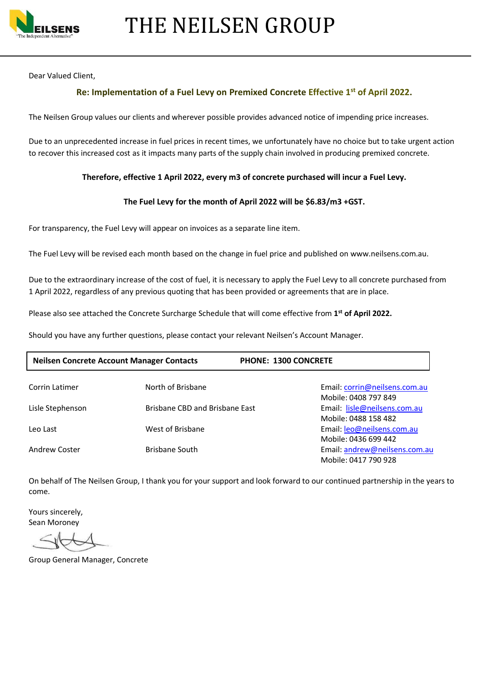

Dear Valued Client,

#### **Re: Implementation of a Fuel Levy on Premixed Concrete Effective 1st of April 2022.**

The Neilsen Group values our clients and wherever possible provides advanced notice of impending price increases.

Due to an unprecedented increase in fuel prices in recent times, we unfortunately have no choice but to take urgent action to recover this increased cost as it impacts many parts of the supply chain involved in producing premixed concrete.

#### **Therefore, effective 1 April 2022, every m3 of concrete purchased will incur a Fuel Levy.**

#### **The Fuel Levy for the month of April 2022 will be \$6.83/m3 +GST.**

For transparency, the Fuel Levy will appear on invoices as a separate line item.

The Fuel Levy will be revised each month based on the change in fuel price and published on www.neilsens.com.au.

Due to the extraordinary increase of the cost of fuel, it is necessary to apply the Fuel Levy to all concrete purchased from 1 April 2022, regardless of any previous quoting that has been provided or agreements that are in place.

Please also see attached the Concrete Surcharge Schedule that will come effective from **1 st of April 2022.**

Should you have any further questions, please contact your relevant Neilsen's Account Manager.

| <b>Neilsen Concrete Account Manager Contacts</b> |                                | <b>PHONE: 1300 CONCRETE</b> |                               |
|--------------------------------------------------|--------------------------------|-----------------------------|-------------------------------|
| Corrin Latimer                                   | North of Brisbane              |                             | Email: corrin@neilsens.com.au |
|                                                  |                                |                             | Mobile: 0408 797 849          |
| Lisle Stephenson                                 | Brisbane CBD and Brisbane East |                             | Email: lisle@neilsens.com.au  |
|                                                  |                                |                             | Mobile: 0488 158 482          |
| Leo Last                                         | West of Brisbane               |                             | Email: leo@neilsens.com.au    |
|                                                  |                                |                             | Mobile: 0436 699 442          |
| Andrew Coster                                    | <b>Brisbane South</b>          |                             | Email: andrew@neilsens.com.au |
|                                                  |                                |                             | Mobile: 0417 790 928          |

On behalf of The Neilsen Group, I thank you for your support and look forward to our continued partnership in the years to come.

Yours sincerely, Sean Moroney

Group General Manager, Concrete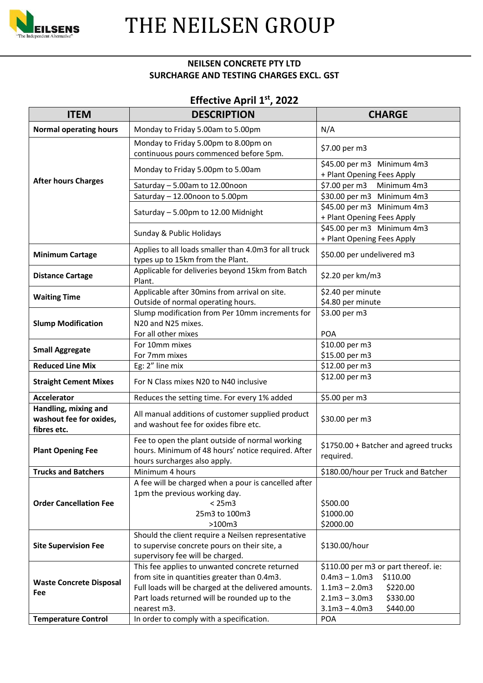

## THE NEILSEN GROUP

#### **NEILSEN CONCRETE PTY LTD SURCHARGE AND TESTING CHARGES EXCL. GST**

### **Effective April 1 st, 2022**

| <b>ITEM</b>                                                    | <b>DESCRIPTION</b>                                                                                                                                                                                                    | <b>CHARGE</b>                                                                                                                                                    |
|----------------------------------------------------------------|-----------------------------------------------------------------------------------------------------------------------------------------------------------------------------------------------------------------------|------------------------------------------------------------------------------------------------------------------------------------------------------------------|
| <b>Normal operating hours</b>                                  | Monday to Friday 5.00am to 5.00pm                                                                                                                                                                                     | N/A                                                                                                                                                              |
|                                                                | Monday to Friday 5.00pm to 8.00pm on<br>continuous pours commenced before 5pm.                                                                                                                                        | \$7.00 per m3                                                                                                                                                    |
|                                                                | Monday to Friday 5.00pm to 5.00am                                                                                                                                                                                     | \$45.00 per m3 Minimum 4m3<br>+ Plant Opening Fees Apply                                                                                                         |
| <b>After hours Charges</b>                                     | Saturday - 5.00am to 12.00noon                                                                                                                                                                                        | \$7.00 per m3<br>Minimum 4m3                                                                                                                                     |
|                                                                | Saturday - 12.00noon to 5.00pm                                                                                                                                                                                        | \$30.00 per m3 Minimum 4m3                                                                                                                                       |
|                                                                | Saturday - 5.00pm to 12.00 Midnight                                                                                                                                                                                   | \$45.00 per m3 Minimum 4m3<br>+ Plant Opening Fees Apply                                                                                                         |
|                                                                | Sunday & Public Holidays                                                                                                                                                                                              | \$45.00 per m3 Minimum 4m3<br>+ Plant Opening Fees Apply                                                                                                         |
| <b>Minimum Cartage</b>                                         | Applies to all loads smaller than 4.0m3 for all truck<br>types up to 15km from the Plant.                                                                                                                             | \$50.00 per undelivered m3                                                                                                                                       |
| <b>Distance Cartage</b>                                        | Applicable for deliveries beyond 15km from Batch<br>Plant.                                                                                                                                                            | \$2.20 per km/m3                                                                                                                                                 |
| <b>Waiting Time</b>                                            | Applicable after 30mins from arrival on site.<br>Outside of normal operating hours.                                                                                                                                   | \$2.40 per minute<br>\$4.80 per minute                                                                                                                           |
| <b>Slump Modification</b>                                      | Slump modification from Per 10mm increments for<br>N20 and N25 mixes.<br>For all other mixes                                                                                                                          | \$3.00 per m3<br><b>POA</b>                                                                                                                                      |
|                                                                | For 10mm mixes                                                                                                                                                                                                        | \$10.00 per m3                                                                                                                                                   |
| <b>Small Aggregate</b>                                         | For 7mm mixes                                                                                                                                                                                                         | \$15.00 per m3                                                                                                                                                   |
| <b>Reduced Line Mix</b>                                        | Eg: 2" line mix                                                                                                                                                                                                       | \$12.00 per m3                                                                                                                                                   |
| <b>Straight Cement Mixes</b>                                   | For N Class mixes N20 to N40 inclusive                                                                                                                                                                                | \$12.00 per m3                                                                                                                                                   |
| <b>Accelerator</b>                                             | Reduces the setting time. For every 1% added                                                                                                                                                                          | \$5.00 per m3                                                                                                                                                    |
| Handling, mixing and<br>washout fee for oxides,<br>fibres etc. | All manual additions of customer supplied product<br>and washout fee for oxides fibre etc.                                                                                                                            | \$30.00 per m3                                                                                                                                                   |
| <b>Plant Opening Fee</b>                                       | Fee to open the plant outside of normal working<br>hours. Minimum of 48 hours' notice required. After<br>hours surcharges also apply.                                                                                 | \$1750.00 + Batcher and agreed trucks<br>required.                                                                                                               |
| <b>Trucks and Batchers</b>                                     | Minimum 4 hours                                                                                                                                                                                                       | \$180.00/hour per Truck and Batcher                                                                                                                              |
| <b>Order Cancellation Fee</b>                                  | A fee will be charged when a pour is cancelled after<br>1pm the previous working day.<br>< 25m3<br>25m3 to 100m3<br>$>100m3$                                                                                          | \$500.00<br>\$1000.00<br>\$2000.00                                                                                                                               |
| <b>Site Supervision Fee</b>                                    | Should the client require a Neilsen representative<br>to supervise concrete pours on their site, a<br>supervisory fee will be charged.                                                                                | \$130.00/hour                                                                                                                                                    |
| <b>Waste Concrete Disposal</b><br>Fee                          | This fee applies to unwanted concrete returned<br>from site in quantities greater than 0.4m3.<br>Full loads will be charged at the delivered amounts.<br>Part loads returned will be rounded up to the<br>nearest m3. | \$110.00 per m3 or part thereof. ie:<br>$0.4m3 - 1.0m3$<br>\$110.00<br>\$220.00<br>$1.1m3 - 2.0m3$<br>\$330.00<br>$2.1m3 - 3.0m3$<br>$3.1m3 - 4.0m3$<br>\$440.00 |
| <b>Temperature Control</b>                                     | In order to comply with a specification.                                                                                                                                                                              | <b>POA</b>                                                                                                                                                       |